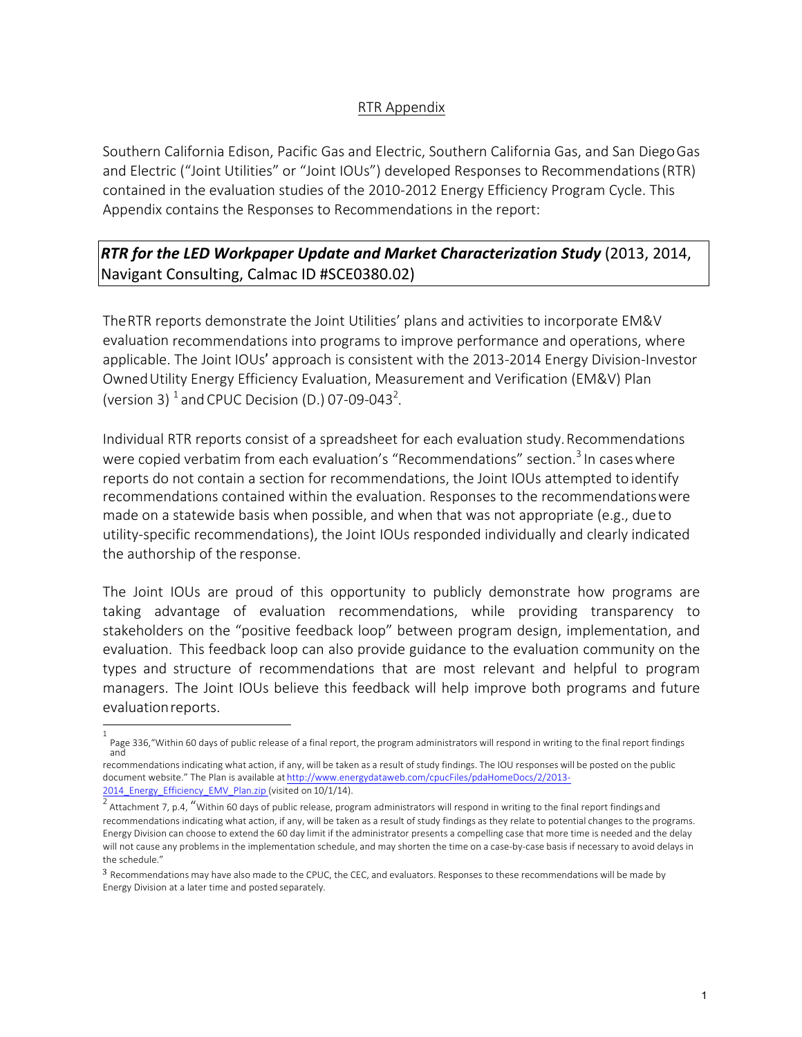## RTR Appendix

Southern California Edison, Pacific Gas and Electric, Southern California Gas, and San DiegoGas and Electric ("Joint Utilities" or "Joint IOUs") developed Responses to Recommendations(RTR) contained in the evaluation studies of the 2010-2012 Energy Efficiency Program Cycle. This Appendix contains the Responses to Recommendations in the report:

# *RTR for the LED Workpaper Update and Market Characterization Study* **(2013, 2014,** Navigant Consulting, Calmac ID #SCE0380.02)

TheRTR reports demonstrate the Joint Utilities' plans and activities to incorporate EM&V evaluation recommendations into programs to improve performance and operations, where applicable. The Joint IOUs' approach is consistent with the 2013-2014 Energy Division-Investor OwnedUtility Energy Efficiency Evaluation, Measurement and Verification (EM&V) Plan (version 3)  $^1$  and CPUC Decision (D.) 07-09-043<sup>2</sup>.

Individual RTR reports consist of a spreadsheet for each evaluation study.Recommendations were copied verbatim from each evaluation's "Recommendations" section.<sup>3</sup> In cases where reports do not contain a section for recommendations, the Joint IOUs attempted to identify recommendations contained within the evaluation. Responses to the recommendationswere made on a statewide basis when possible, and when that was not appropriate (e.g., due to utility-specific recommendations), the Joint IOUs responded individually and clearly indicated the authorship of the response.

The Joint IOUs are proud of this opportunity to publicly demonstrate how programs are taking advantage of evaluation recommendations, while providing transparency to stakeholders on the "positive feedback loop" between program design, implementation, and evaluation. This feedback loop can also provide guidance to the evaluation community on the types and structure of recommendations that are most relevant and helpful to program managers. The Joint IOUs believe this feedback will help improve both programs and future evaluationreports.

<sup>1</sup> Page 336,"Within 60 days of public release of a final report, the program administrators will respond in writing to the final report findings and

recommendations indicating what action, if any, will be taken as a result of study findings. The IOU responses will be posted on the public document website." The Plan is available at http://www.energydataweb.com/cpucFiles/pdaHomeDocs/2/2013- 2014\_Energy\_Efficiency\_EMV\_Plan.zip (visited on 10/1/14).

<sup>&</sup>lt;sup>2</sup> Attachment 7, p.4, "Within 60 days of public release, program administrators will respond in writing to the final report findingsand recommendations indicating what action, if any, will be taken as a result of study findings as they relate to potential changes to the programs. Energy Division can choose to extend the 60 day limit if the administrator presents a compelling case that more time is needed and the delay will not cause any problems in the implementation schedule, and may shorten the time on a case-by-case basis if necessary to avoid delays in the schedule."

<sup>3</sup> Recommendations may have also made to the CPUC, the CEC, and evaluators. Responses to these recommendations will be made by Energy Division at a later time and posted separately.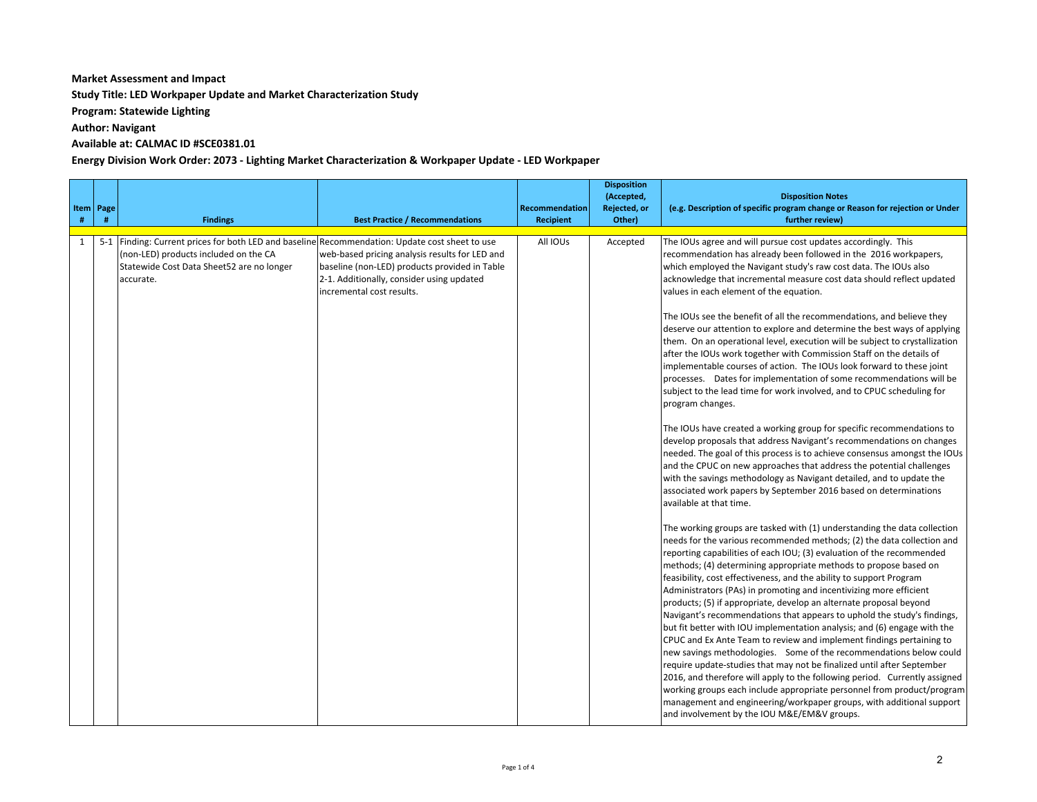### **Market Assessment and Impact**

**Study Title: LED Workpaper Update and Market Characterization Study** 

**Program: Statewide Lighting**

**Author: Navigant** 

### Available at: CALMAC ID #SCE0381.01

#### **Energy Division Work Order: 2073 - Lighting Market Characterization & Workpaper Update - LED Workpaper**

| $\#$ | Item   Page<br># | <b>Findings</b>                                                                                                                                                                                   | <b>Best Practice / Recommendations</b>                                                                                                                                    | <b>Recommendation</b><br><b>Recipient</b> | <b>Disposition</b><br>(Accepted,<br>Rejected, or<br>Other) | <b>Disposition Notes</b><br>(e.g. Description of specific program change or Reason for rejection or Under<br>further review)                                                                                                                                                                                                                                                                                                                                                                                                                                                                                                                                                                                                                                                                                                                                                                                                                                                                                                                                                                                                                                                                                                                                                                                                                                                                                                                                                                                                                                                                                                                                                                                                                                                                                                                                                                                                                                                                                                                                                                                                                                                                                                                                                                                                                                                                                                                                                                                                                         |
|------|------------------|---------------------------------------------------------------------------------------------------------------------------------------------------------------------------------------------------|---------------------------------------------------------------------------------------------------------------------------------------------------------------------------|-------------------------------------------|------------------------------------------------------------|------------------------------------------------------------------------------------------------------------------------------------------------------------------------------------------------------------------------------------------------------------------------------------------------------------------------------------------------------------------------------------------------------------------------------------------------------------------------------------------------------------------------------------------------------------------------------------------------------------------------------------------------------------------------------------------------------------------------------------------------------------------------------------------------------------------------------------------------------------------------------------------------------------------------------------------------------------------------------------------------------------------------------------------------------------------------------------------------------------------------------------------------------------------------------------------------------------------------------------------------------------------------------------------------------------------------------------------------------------------------------------------------------------------------------------------------------------------------------------------------------------------------------------------------------------------------------------------------------------------------------------------------------------------------------------------------------------------------------------------------------------------------------------------------------------------------------------------------------------------------------------------------------------------------------------------------------------------------------------------------------------------------------------------------------------------------------------------------------------------------------------------------------------------------------------------------------------------------------------------------------------------------------------------------------------------------------------------------------------------------------------------------------------------------------------------------------------------------------------------------------------------------------------------------------|
| 1    |                  | 5-1 Finding: Current prices for both LED and baseline Recommendation: Update cost sheet to use<br>(non-LED) products included on the CA<br>Statewide Cost Data Sheet52 are no longer<br>accurate. | web-based pricing analysis results for LED and<br>baseline (non-LED) products provided in Table<br>2-1. Additionally, consider using updated<br>incremental cost results. | All IOUs                                  | Accepted                                                   | The IOUs agree and will pursue cost updates accordingly. This<br>recommendation has already been followed in the 2016 workpapers,<br>which employed the Navigant study's raw cost data. The IOUs also<br>acknowledge that incremental measure cost data should reflect updated<br>values in each element of the equation.<br>The IOUs see the benefit of all the recommendations, and believe they<br>deserve our attention to explore and determine the best ways of applying<br>them. On an operational level, execution will be subject to crystallization<br>after the IOUs work together with Commission Staff on the details of<br>implementable courses of action. The IOUs look forward to these joint<br>processes. Dates for implementation of some recommendations will be<br>subject to the lead time for work involved, and to CPUC scheduling for<br>program changes.<br>The IOUs have created a working group for specific recommendations to<br>develop proposals that address Navigant's recommendations on changes<br>needed. The goal of this process is to achieve consensus amongst the IOUs<br>and the CPUC on new approaches that address the potential challenges<br>with the savings methodology as Navigant detailed, and to update the<br>associated work papers by September 2016 based on determinations<br>available at that time.<br>The working groups are tasked with (1) understanding the data collection<br>needs for the various recommended methods; (2) the data collection and<br>reporting capabilities of each IOU; (3) evaluation of the recommended<br>methods; (4) determining appropriate methods to propose based on<br>feasibility, cost effectiveness, and the ability to support Program<br>Administrators (PAs) in promoting and incentivizing more efficient<br>products; (5) if appropriate, develop an alternate proposal beyond<br>Navigant's recommendations that appears to uphold the study's findings,<br>but fit better with IOU implementation analysis; and (6) engage with the<br>CPUC and Ex Ante Team to review and implement findings pertaining to<br>new savings methodologies. Some of the recommendations below could<br>require update-studies that may not be finalized until after September<br>2016, and therefore will apply to the following period. Currently assigned<br>working groups each include appropriate personnel from product/program<br>management and engineering/workpaper groups, with additional support<br>and involvement by the IOU M&E/EM&V groups. |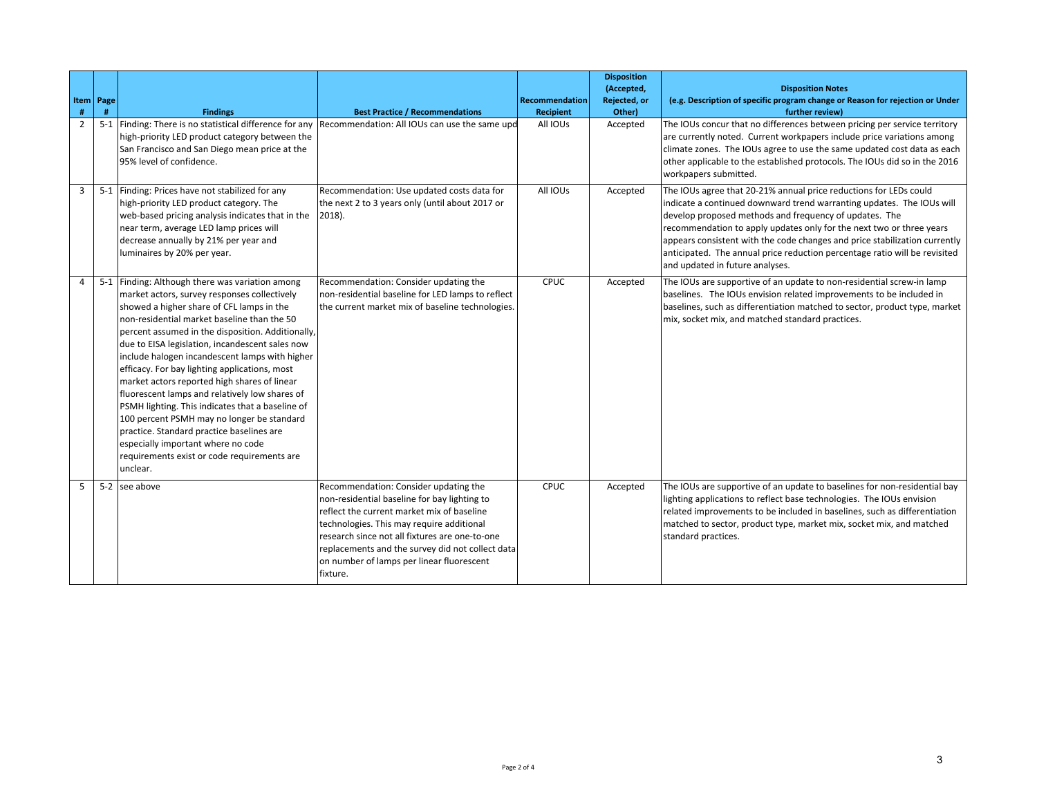| #              | Item   Page<br># | <b>Findings</b>                                                                                                                                                                                                                                                                                                                                                                                                                                                                                                                                                                                                                                                                                                                                          | <b>Best Practice / Recommendations</b>                                                                                                                                                                                                                                                                                                          | <b>Recommendation</b><br><b>Recipient</b> | <b>Disposition</b><br>(Accepted,<br>Rejected, or<br>Other) | <b>Disposition Notes</b><br>(e.g. Description of specific program change or Reason for rejection or Under<br>further review)                                                                                                                                                                                                                                                                                                                                                |
|----------------|------------------|----------------------------------------------------------------------------------------------------------------------------------------------------------------------------------------------------------------------------------------------------------------------------------------------------------------------------------------------------------------------------------------------------------------------------------------------------------------------------------------------------------------------------------------------------------------------------------------------------------------------------------------------------------------------------------------------------------------------------------------------------------|-------------------------------------------------------------------------------------------------------------------------------------------------------------------------------------------------------------------------------------------------------------------------------------------------------------------------------------------------|-------------------------------------------|------------------------------------------------------------|-----------------------------------------------------------------------------------------------------------------------------------------------------------------------------------------------------------------------------------------------------------------------------------------------------------------------------------------------------------------------------------------------------------------------------------------------------------------------------|
| $\overline{2}$ |                  | 5-1 Finding: There is no statistical difference for any Recommendation: All IOUs can use the same upd<br>high-priority LED product category between the<br>San Francisco and San Diego mean price at the<br>95% level of confidence.                                                                                                                                                                                                                                                                                                                                                                                                                                                                                                                     |                                                                                                                                                                                                                                                                                                                                                 | All IOUs                                  | Accepted                                                   | The IOUs concur that no differences between pricing per service territory<br>are currently noted. Current workpapers include price variations among<br>climate zones. The IOUs agree to use the same updated cost data as each<br>other applicable to the established protocols. The IOUs did so in the 2016<br>workpapers submitted.                                                                                                                                       |
| 3              |                  | 5-1 Finding: Prices have not stabilized for any<br>high-priority LED product category. The<br>web-based pricing analysis indicates that in the<br>near term, average LED lamp prices will<br>decrease annually by 21% per year and<br>luminaires by 20% per year.                                                                                                                                                                                                                                                                                                                                                                                                                                                                                        | Recommendation: Use updated costs data for<br>the next 2 to 3 years only (until about 2017 or<br>$ 2018\rangle$ .                                                                                                                                                                                                                               | All IOUs                                  | Accepted                                                   | The IOUs agree that 20-21% annual price reductions for LEDs could<br>indicate a continued downward trend warranting updates. The IOUs will<br>develop proposed methods and frequency of updates. The<br>recommendation to apply updates only for the next two or three years<br>appears consistent with the code changes and price stabilization currently<br>anticipated. The annual price reduction percentage ratio will be revisited<br>and updated in future analyses. |
| 4              |                  | 5-1 Finding: Although there was variation among<br>market actors, survey responses collectively<br>showed a higher share of CFL lamps in the<br>non-residential market baseline than the 50<br>percent assumed in the disposition. Additionally,<br>due to EISA legislation, incandescent sales now<br>include halogen incandescent lamps with higher<br>efficacy. For bay lighting applications, most<br>market actors reported high shares of linear<br>fluorescent lamps and relatively low shares of<br>PSMH lighting. This indicates that a baseline of<br>100 percent PSMH may no longer be standard<br>practice. Standard practice baselines are<br>especially important where no code<br>requirements exist or code requirements are<br>unclear. | Recommendation: Consider updating the<br>non-residential baseline for LED lamps to reflect<br>the current market mix of baseline technologies.                                                                                                                                                                                                  | <b>CPUC</b>                               | Accepted                                                   | The IOUs are supportive of an update to non-residential screw-in lamp<br>baselines. The IOUs envision related improvements to be included in<br>baselines, such as differentiation matched to sector, product type, market<br>mix, socket mix, and matched standard practices.                                                                                                                                                                                              |
| 5              |                  | 5-2 see above                                                                                                                                                                                                                                                                                                                                                                                                                                                                                                                                                                                                                                                                                                                                            | Recommendation: Consider updating the<br>non-residential baseline for bay lighting to<br>reflect the current market mix of baseline<br>technologies. This may require additional<br>research since not all fixtures are one-to-one<br>replacements and the survey did not collect data<br>on number of lamps per linear fluorescent<br>fixture. | CPUC                                      | Accepted                                                   | The IOUs are supportive of an update to baselines for non-residential bay<br>lighting applications to reflect base technologies. The IOUs envision<br>related improvements to be included in baselines, such as differentiation<br>matched to sector, product type, market mix, socket mix, and matched<br>standard practices.                                                                                                                                              |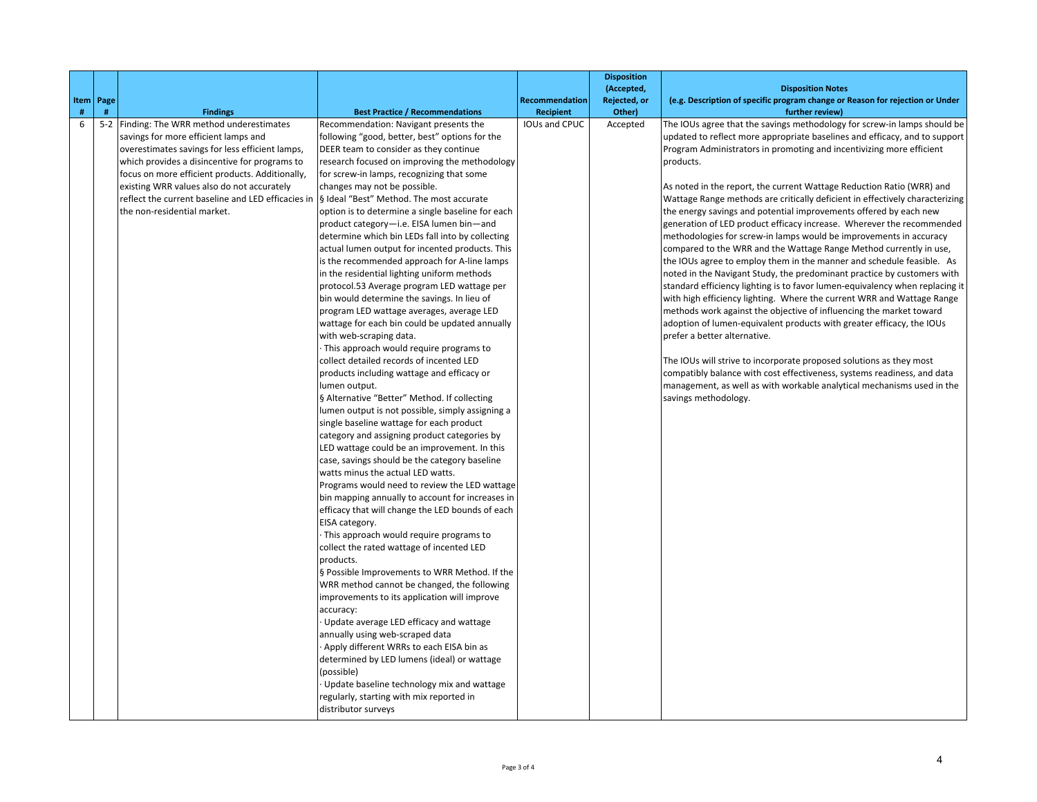|      |           |                                                    |                                                   |                      | <b>Disposition</b>         | <b>Disposition Notes</b>                                                      |
|------|-----------|----------------------------------------------------|---------------------------------------------------|----------------------|----------------------------|-------------------------------------------------------------------------------|
|      | Item Page |                                                    |                                                   | Recommendation       | (Accepted,<br>Rejected, or | (e.g. Description of specific program change or Reason for rejection or Under |
| $\#$ | #         | <b>Findings</b>                                    | <b>Best Practice / Recommendations</b>            | <b>Recipient</b>     | Other)                     | further review)                                                               |
| 6    |           | 5-2 Finding: The WRR method underestimates         | Recommendation: Navigant presents the             | <b>IOUs and CPUC</b> | Accepted                   | The IOUs agree that the savings methodology for screw-in lamps should be      |
|      |           | savings for more efficient lamps and               | following "good, better, best" options for the    |                      |                            | updated to reflect more appropriate baselines and efficacy, and to support    |
|      |           | overestimates savings for less efficient lamps,    | DEER team to consider as they continue            |                      |                            | Program Administrators in promoting and incentivizing more efficient          |
|      |           | which provides a disincentive for programs to      | research focused on improving the methodology     |                      |                            | products.                                                                     |
|      |           | focus on more efficient products. Additionally,    | for screw-in lamps, recognizing that some         |                      |                            |                                                                               |
|      |           | existing WRR values also do not accurately         | changes may not be possible.                      |                      |                            | As noted in the report, the current Wattage Reduction Ratio (WRR) and         |
|      |           | reflect the current baseline and LED efficacies in | § Ideal "Best" Method. The most accurate          |                      |                            | Wattage Range methods are critically deficient in effectively characterizing  |
|      |           | the non-residential market.                        | option is to determine a single baseline for each |                      |                            | the energy savings and potential improvements offered by each new             |
|      |           |                                                    | product category-i.e. EISA lumen bin-and          |                      |                            | generation of LED product efficacy increase. Wherever the recommended         |
|      |           |                                                    | determine which bin LEDs fall into by collecting  |                      |                            | methodologies for screw-in lamps would be improvements in accuracy            |
|      |           |                                                    | actual lumen output for incented products. This   |                      |                            | compared to the WRR and the Wattage Range Method currently in use,            |
|      |           |                                                    | is the recommended approach for A-line lamps      |                      |                            | the IOUs agree to employ them in the manner and schedule feasible. As         |
|      |           |                                                    | in the residential lighting uniform methods       |                      |                            | noted in the Navigant Study, the predominant practice by customers with       |
|      |           |                                                    | protocol.53 Average program LED wattage per       |                      |                            | standard efficiency lighting is to favor lumen-equivalency when replacing it  |
|      |           |                                                    | bin would determine the savings. In lieu of       |                      |                            | with high efficiency lighting. Where the current WRR and Wattage Range        |
|      |           |                                                    | program LED wattage averages, average LED         |                      |                            | methods work against the objective of influencing the market toward           |
|      |           |                                                    | wattage for each bin could be updated annually    |                      |                            | adoption of lumen-equivalent products with greater efficacy, the IOUs         |
|      |           |                                                    | with web-scraping data.                           |                      |                            | prefer a better alternative.                                                  |
|      |           |                                                    | This approach would require programs to           |                      |                            |                                                                               |
|      |           |                                                    | collect detailed records of incented LED          |                      |                            | The IOUs will strive to incorporate proposed solutions as they most           |
|      |           |                                                    | products including wattage and efficacy or        |                      |                            | compatibly balance with cost effectiveness, systems readiness, and data       |
|      |           |                                                    | lumen output.                                     |                      |                            | management, as well as with workable analytical mechanisms used in the        |
|      |           |                                                    | § Alternative "Better" Method. If collecting      |                      |                            | savings methodology.                                                          |
|      |           |                                                    | lumen output is not possible, simply assigning a  |                      |                            |                                                                               |
|      |           |                                                    | single baseline wattage for each product          |                      |                            |                                                                               |
|      |           |                                                    | category and assigning product categories by      |                      |                            |                                                                               |
|      |           |                                                    | LED wattage could be an improvement. In this      |                      |                            |                                                                               |
|      |           |                                                    | case, savings should be the category baseline     |                      |                            |                                                                               |
|      |           |                                                    | watts minus the actual LED watts.                 |                      |                            |                                                                               |
|      |           |                                                    | Programs would need to review the LED wattage     |                      |                            |                                                                               |
|      |           |                                                    | bin mapping annually to account for increases in  |                      |                            |                                                                               |
|      |           |                                                    | efficacy that will change the LED bounds of each  |                      |                            |                                                                               |
|      |           |                                                    | EISA category.                                    |                      |                            |                                                                               |
|      |           |                                                    | This approach would require programs to           |                      |                            |                                                                               |
|      |           |                                                    | collect the rated wattage of incented LED         |                      |                            |                                                                               |
|      |           |                                                    | products.                                         |                      |                            |                                                                               |
|      |           |                                                    | § Possible Improvements to WRR Method. If the     |                      |                            |                                                                               |
|      |           |                                                    | WRR method cannot be changed, the following       |                      |                            |                                                                               |
|      |           |                                                    | improvements to its application will improve      |                      |                            |                                                                               |
|      |           |                                                    | accuracy:                                         |                      |                            |                                                                               |
|      |           |                                                    | Update average LED efficacy and wattage           |                      |                            |                                                                               |
|      |           |                                                    | annually using web-scraped data                   |                      |                            |                                                                               |
|      |           |                                                    | Apply different WRRs to each EISA bin as          |                      |                            |                                                                               |
|      |           |                                                    | determined by LED lumens (ideal) or wattage       |                      |                            |                                                                               |
|      |           |                                                    | (possible)                                        |                      |                            |                                                                               |
|      |           |                                                    | Update baseline technology mix and wattage        |                      |                            |                                                                               |
|      |           |                                                    | regularly, starting with mix reported in          |                      |                            |                                                                               |
|      |           |                                                    | distributor surveys                               |                      |                            |                                                                               |